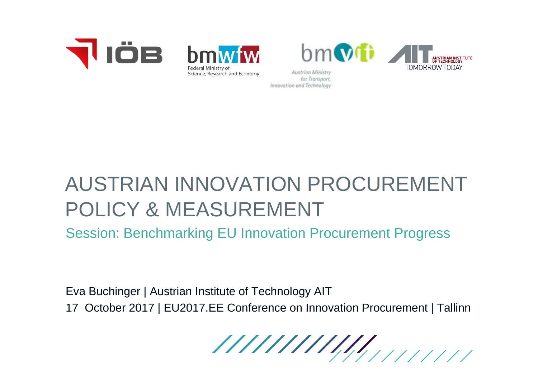





Austrian Ministry for Transport. Innovation and Technology

# AUSTRIAN INNOVATION PROCUREMENT POLICY & MEASUREMENT

Session: Benchmarking EU Innovation Procurement Progress

Eva Buchinger | Austrian Institute of Technology AIT 17 October 2017 | EU2017.EE Conference on Innovation Procurement | Tallinn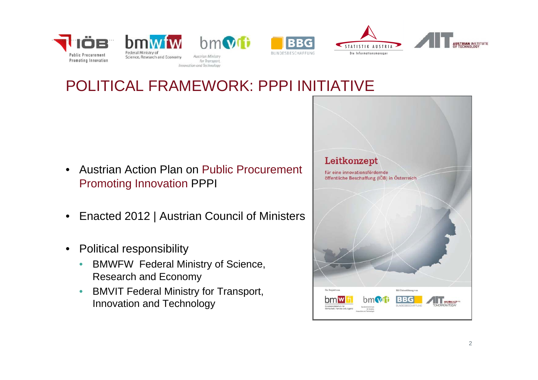



### POLITICAL FRAMEWORK: PPPI INITIATIVE

**BBG** 

- • Austrian Action Plan on Public Procurement Promoting Innovation PPPI
- $\bullet$ Enacted 2012 | Austrian Council of Ministers
- $\bullet$  Political responsibility
	- $\bullet$  BMWFW Federal Ministry of Science, Research and Economy
	- $\bullet$  BMVIT Federal Ministry for Transport, Innovation and Technology

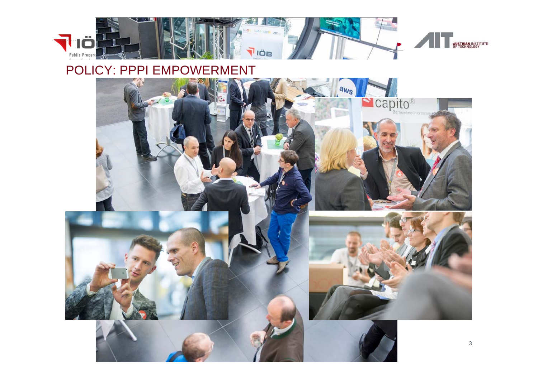

#### POLICY: PPPI EMPOWERMENT

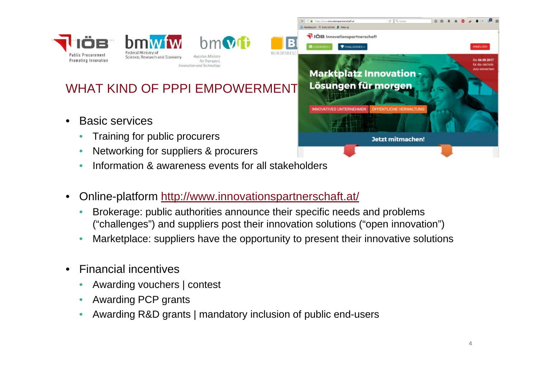



Austrian Ministr for Transport Innovation and Technolog

 $hm$   $v$   $t$   $t$ 

#### WHAT KIND OF PPPI EMPOWERMENT

- $\bullet$  Basic services
	- $\bullet$ Training for public procurers
	- $\bullet$ Networking for suppliers & procurers
	- •Information & awareness events for all stakeholders
- $\bullet$  Online-platform http://www.innovationspartnerschaft.at/
	- • Brokerage: public authorities announce their specific needs and problems ("challenges") and suppliers post their innovation solutions ("open innovation")
	- •Marketplace: suppliers have the opportunity to present their innovative solutions
- • Financial incentives
	- •Awarding vouchers | contest
	- •Awarding PCP grants
	- •Awarding R&D grants | mandatory inclusion of public end-users

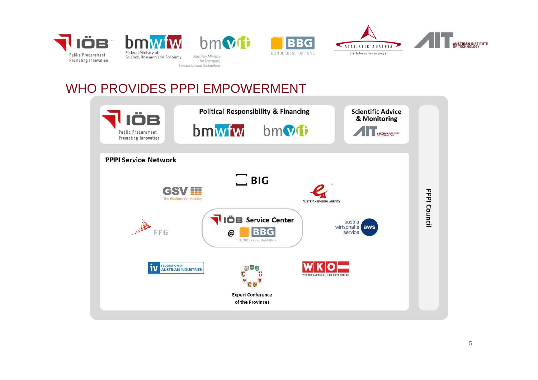







#### WHO PROVIDES PPPI EMPOWERMENT

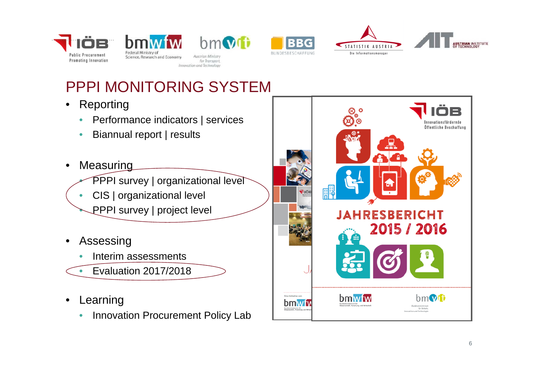



 $bm$ **Austrian Ministr** for Transport,





### PPPI MONITORING SYSTEM

- $\bullet$  Reporting
	- $\bullet$ Performance indicators | services
	- $\bullet$ Biannual report | results
- •**Measuring** 
	- •PPPI survey | organizational level
	- •CIS | organizational level
	- •PPPI survey | project level
- • Assessing
	- •Interim assessments
	- •Evaluation 2017/2018
- • Learning
	- $\bullet$ Innovation Procurement Policy Lab

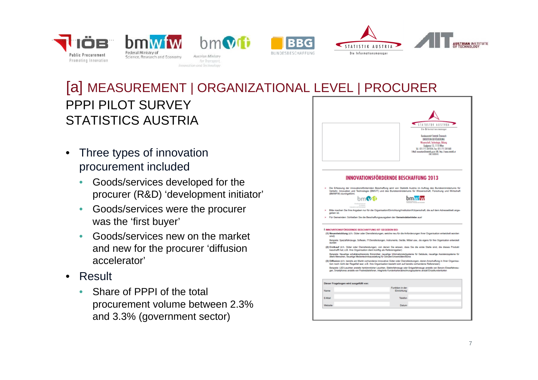

 $hm$  $N$ for Transport Innovation and Technolog





PPPI PILOT SURVEYSTATISTICS AUSTRIA [a] MEASUREMENT | ORGANIZATIONAL LEVEL | PROCURER

- • Three types of innovation procurement included
	- • Goods/services developed for the procurer (R&D) 'development initiator'
	- • Goods/services were the procurer was the 'first buyer'
	- • Goods/services new on the market and new for the procurer 'diffusion accelerator'
- Result
	- $\bullet$  Share of PPPI of the total procurement volume between 2.3% and 3.3% (government sector)

|                                        | <b>STATISTIK AUSTRIA</b><br>bis Informationsmensger                                                                                                                                                                                                                                                                                                                                                                                                                                                                                                                                                                                                                                                                                                                                                                                                                                                                                      |
|----------------------------------------|------------------------------------------------------------------------------------------------------------------------------------------------------------------------------------------------------------------------------------------------------------------------------------------------------------------------------------------------------------------------------------------------------------------------------------------------------------------------------------------------------------------------------------------------------------------------------------------------------------------------------------------------------------------------------------------------------------------------------------------------------------------------------------------------------------------------------------------------------------------------------------------------------------------------------------------|
|                                        | <b>Bundespretch Statistik Osterwich</b>                                                                                                                                                                                                                                                                                                                                                                                                                                                                                                                                                                                                                                                                                                                                                                                                                                                                                                  |
|                                        | DIRECTION REVOLKERUNG<br>Wasenschaft, Technologie, Bildung                                                                                                                                                                                                                                                                                                                                                                                                                                                                                                                                                                                                                                                                                                                                                                                                                                                                               |
|                                        | Guglgassa 13, 1110 Wien<br>Tel: (01) 711 28-7054, Fex: (01) 711 28-7680                                                                                                                                                                                                                                                                                                                                                                                                                                                                                                                                                                                                                                                                                                                                                                                                                                                                  |
|                                        | Ethal: innoveters@ctetictik.goat; URL: http://www.statictik.et<br>DVR: 0000043                                                                                                                                                                                                                                                                                                                                                                                                                                                                                                                                                                                                                                                                                                                                                                                                                                                           |
|                                        |                                                                                                                                                                                                                                                                                                                                                                                                                                                                                                                                                                                                                                                                                                                                                                                                                                                                                                                                          |
|                                        |                                                                                                                                                                                                                                                                                                                                                                                                                                                                                                                                                                                                                                                                                                                                                                                                                                                                                                                                          |
|                                        | <b>INNOVATIONSFÖRDERNDE BESCHAFFUNG 2013</b>                                                                                                                                                                                                                                                                                                                                                                                                                                                                                                                                                                                                                                                                                                                                                                                                                                                                                             |
|                                        |                                                                                                                                                                                                                                                                                                                                                                                                                                                                                                                                                                                                                                                                                                                                                                                                                                                                                                                                          |
| (BMWFW) durchgeführt.                  | Die Erfassung der innovationsfördernden Beschaffung wird von Statistik Austria im Auftrag des Bundesministeriums für<br>Verkehr, Innovation und Technologie (BMVIT) und des Bundesministeriums für Wissenschaft, Forschung und Wirtschaft                                                                                                                                                                                                                                                                                                                                                                                                                                                                                                                                                                                                                                                                                                |
|                                        | bm vit                                                                                                                                                                                                                                                                                                                                                                                                                                                                                                                                                                                                                                                                                                                                                                                                                                                                                                                                   |
|                                        |                                                                                                                                                                                                                                                                                                                                                                                                                                                                                                                                                                                                                                                                                                                                                                                                                                                                                                                                          |
| geben ist.                             | Bitte machen Sie Ihre Angaben nur für die Organisation/Einrichtung/Institution/Körperschaft, die auf dem Adressetikett ange-                                                                                                                                                                                                                                                                                                                                                                                                                                                                                                                                                                                                                                                                                                                                                                                                             |
|                                        | Für Gemeinden: Schließen Sie die Beschaffungsausgaben der Gemeindebetriebe aus!                                                                                                                                                                                                                                                                                                                                                                                                                                                                                                                                                                                                                                                                                                                                                                                                                                                          |
|                                        |                                                                                                                                                                                                                                                                                                                                                                                                                                                                                                                                                                                                                                                                                                                                                                                                                                                                                                                                          |
|                                        | 1 INNOVATIONSFORDERNDE BESCHAFFUNG IST GEGEBEN BEI:                                                                                                                                                                                                                                                                                                                                                                                                                                                                                                                                                                                                                                                                                                                                                                                                                                                                                      |
| sind)                                  |                                                                                                                                                                                                                                                                                                                                                                                                                                                                                                                                                                                                                                                                                                                                                                                                                                                                                                                                          |
| exanders                               |                                                                                                                                                                                                                                                                                                                                                                                                                                                                                                                                                                                                                                                                                                                                                                                                                                                                                                                                          |
|                                        |                                                                                                                                                                                                                                                                                                                                                                                                                                                                                                                                                                                                                                                                                                                                                                                                                                                                                                                                          |
|                                        | beschafft hat; z.B. Ihre Organisation dient künftig als Referenzgeber)                                                                                                                                                                                                                                                                                                                                                                                                                                                                                                                                                                                                                                                                                                                                                                                                                                                                   |
|                                        | ältere Menschen, neuartige Medientechnikausstattung für Schulen/Universitäten/Büros                                                                                                                                                                                                                                                                                                                                                                                                                                                                                                                                                                                                                                                                                                                                                                                                                                                      |
|                                        | tion noch nicht der Regelfall war; z.B. Ihre Organisation bezieht sich auf bereits vorhandene Referenzen)                                                                                                                                                                                                                                                                                                                                                                                                                                                                                                                                                                                                                                                                                                                                                                                                                                |
|                                        | (1) Neuentwicklung (d.h. Güter oder Dienstleistungen, welche neu für die Anforderungen Ihrer Organisation entwickelt worden<br>Beispiele: Spezialfahrzeuge, Software, IT-Dienstielstungen, Instrumente, Geräte, Möbel usw., die eigens für ihre Organisation entwickelt<br>(2) Erstkauf (d.h. Güter oder Dienstleistungen, von denen Sie wissen, dass Sie die erste Stelle sind, die dieses Produkt<br>Beispiele: Neuartige schallabsorbierende Büromöbel, neuartige Informationsleitsysteme für Gebäude, neuartige Assistenzsysteme für<br>(3) Diffusion (d.h. bereits am Markt vorhandene innovative Güter oder Dienstleistungen, deren Anschaffung in Ihrer Organisa-<br>Beispiele: LED-Leuchten anstelle herkömmlicher Leuchten, Elektrofahrzeuge oder Erdgasfahrzeuge anstelle von Benzin-/Dieselfahrzeu-<br>gen, Smartphones anstelle von Festnetztelefonen, integrierte Kundenkartenabrechnungssysteme anstatt Einzelkundenkarten |
|                                        |                                                                                                                                                                                                                                                                                                                                                                                                                                                                                                                                                                                                                                                                                                                                                                                                                                                                                                                                          |
| Dieser Fragebogen wird ausgefüllt von: | Funktion in der                                                                                                                                                                                                                                                                                                                                                                                                                                                                                                                                                                                                                                                                                                                                                                                                                                                                                                                          |
| Name                                   | Einrichtung                                                                                                                                                                                                                                                                                                                                                                                                                                                                                                                                                                                                                                                                                                                                                                                                                                                                                                                              |
| E-Mail                                 | Telefon                                                                                                                                                                                                                                                                                                                                                                                                                                                                                                                                                                                                                                                                                                                                                                                                                                                                                                                                  |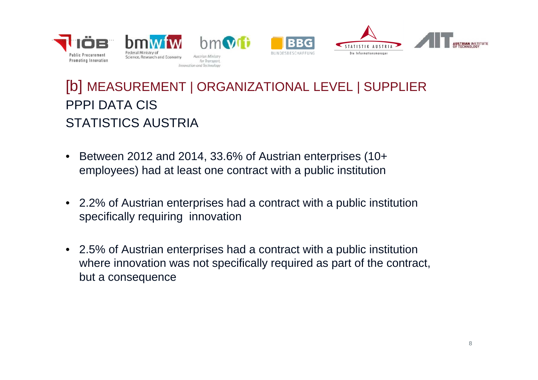

### [b] MEASUREMENT | ORGANIZATIONAL LEVEL | SUPPLIER PPPI DATA CISSTATISTICS AUSTRIA

- • Between 2012 and 2014, 33.6% of Austrian enterprises (10+ employees) had at least one contract with a public institution
- 2.2% of Austrian enterprises had a contract with a public institution specifically requiring innovation
- 2.5% of Austrian enterprises had a contract with a public institution where innovation was not specifically required as part of the contract, but a consequence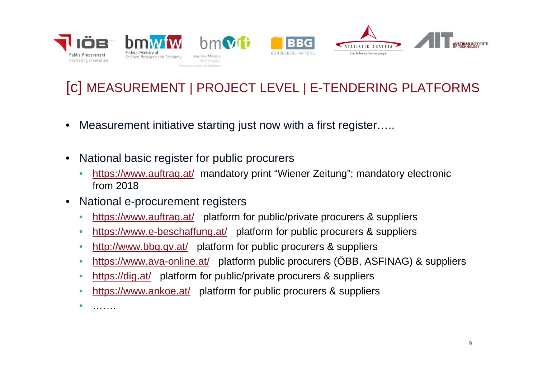

#### [c] MEASUREMENT | PROJECT LEVEL | E-TENDERING PLATFORMS

- •Measurement initiative starting just now with a first register…..
- • National basic register for public procurers
	- •https://www.auftrag.at/ mandatory print "Wiener Zeitung"; mandatory electronic from 2018
- $\bullet$  National e-procurement registers
	- $\bullet$ https://www.auftrag.at/ platform for public/private procurers & suppliers
	- •https://www.e-beschaffung.at/ platform for public procurers & suppliers
	- $\bullet$ http://www.bbg.gv.at/ platform for public procurers & suppliers
	- $\bullet$ https://www.ava-online.at/ platform public procurers (ÖBB, ASFINAG) & suppliers
	- •https://dig.at/ platform for public/private procurers & suppliers
	- •https://www.ankoe.at/ platform for public procurers & suppliers

•………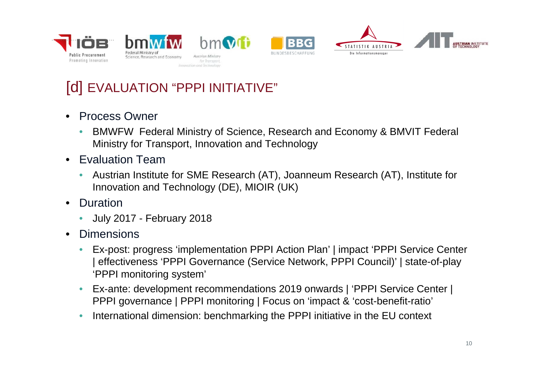





### [d] EVALUATION "PPPI INITIATIVE"

- $\bullet$  Process Owner
	- • BMWFW Federal Ministry of Science, Research and Economy & BMVIT Federal Ministry for Transport, Innovation and Technology
- Evaluation Team
	- • Austrian Institute for SME Research (AT), Joanneum Research (AT), Institute for Innovation and Technology (DE), MIOIR (UK)
- • Duration
	- •July 2017 - February 2018
- • Dimensions
	- • Ex-post: progress 'implementation PPPI Action Plan' | impact 'PPPI Service Center | effectiveness 'PPPI Governance (Service Network, PPPI Council)' | state-of-play 'PPPI monitoring system'
	- • Ex-ante: development recommendations 2019 onwards | 'PPPI Service Center | PPPI governance | PPPI monitoring | Focus on 'impact & 'cost-benefit-ratio'
	- •International dimension: benchmarking the PPPI initiative in the EU context